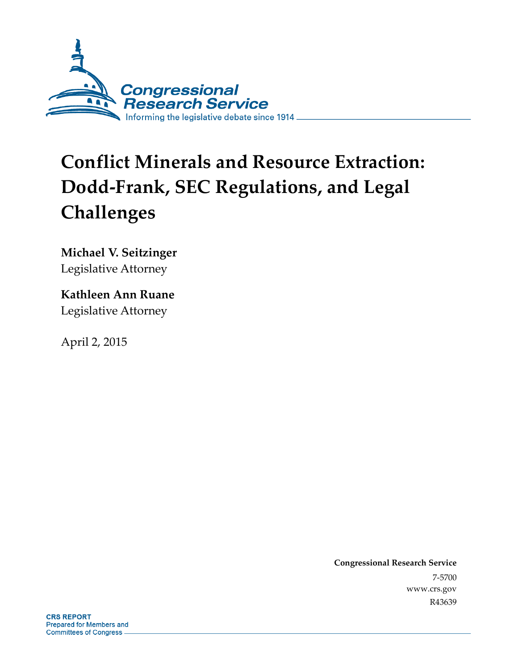

# **Conflict Minerals and Resource Extraction: Dodd-Frank, SEC Regulations, and Legal Challenges**

**Michael V. Seitzinger**  Legislative Attorney

**Kathleen Ann Ruane**  Legislative Attorney

April 2, 2015

**Congressional Research Service**  7-5700 www.crs.gov R43639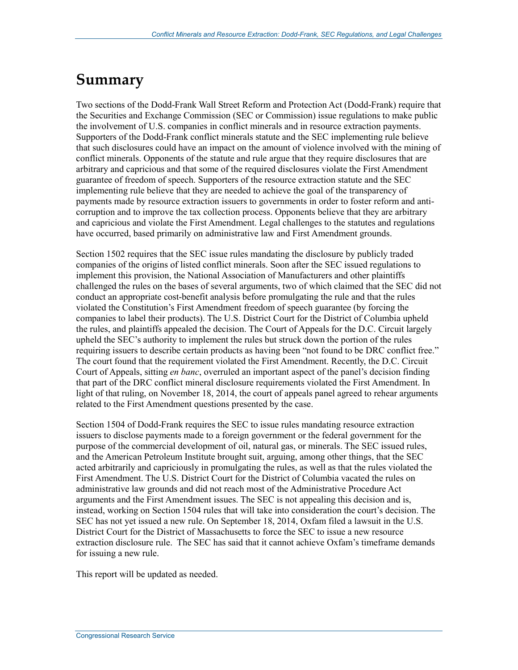## **Summary**

Two sections of the Dodd-Frank Wall Street Reform and Protection Act (Dodd-Frank) require that the Securities and Exchange Commission (SEC or Commission) issue regulations to make public the involvement of U.S. companies in conflict minerals and in resource extraction payments. Supporters of the Dodd-Frank conflict minerals statute and the SEC implementing rule believe that such disclosures could have an impact on the amount of violence involved with the mining of conflict minerals. Opponents of the statute and rule argue that they require disclosures that are arbitrary and capricious and that some of the required disclosures violate the First Amendment guarantee of freedom of speech. Supporters of the resource extraction statute and the SEC implementing rule believe that they are needed to achieve the goal of the transparency of payments made by resource extraction issuers to governments in order to foster reform and anticorruption and to improve the tax collection process. Opponents believe that they are arbitrary and capricious and violate the First Amendment. Legal challenges to the statutes and regulations have occurred, based primarily on administrative law and First Amendment grounds.

Section 1502 requires that the SEC issue rules mandating the disclosure by publicly traded companies of the origins of listed conflict minerals. Soon after the SEC issued regulations to implement this provision, the National Association of Manufacturers and other plaintiffs challenged the rules on the bases of several arguments, two of which claimed that the SEC did not conduct an appropriate cost-benefit analysis before promulgating the rule and that the rules violated the Constitution's First Amendment freedom of speech guarantee (by forcing the companies to label their products). The U.S. District Court for the District of Columbia upheld the rules, and plaintiffs appealed the decision. The Court of Appeals for the D.C. Circuit largely upheld the SEC's authority to implement the rules but struck down the portion of the rules requiring issuers to describe certain products as having been "not found to be DRC conflict free." The court found that the requirement violated the First Amendment. Recently, the D.C. Circuit Court of Appeals, sitting *en banc*, overruled an important aspect of the panel's decision finding that part of the DRC conflict mineral disclosure requirements violated the First Amendment. In light of that ruling, on November 18, 2014, the court of appeals panel agreed to rehear arguments related to the First Amendment questions presented by the case.

Section 1504 of Dodd-Frank requires the SEC to issue rules mandating resource extraction issuers to disclose payments made to a foreign government or the federal government for the purpose of the commercial development of oil, natural gas, or minerals. The SEC issued rules, and the American Petroleum Institute brought suit, arguing, among other things, that the SEC acted arbitrarily and capriciously in promulgating the rules, as well as that the rules violated the First Amendment. The U.S. District Court for the District of Columbia vacated the rules on administrative law grounds and did not reach most of the Administrative Procedure Act arguments and the First Amendment issues. The SEC is not appealing this decision and is, instead, working on Section 1504 rules that will take into consideration the court's decision. The SEC has not yet issued a new rule. On September 18, 2014, Oxfam filed a lawsuit in the U.S. District Court for the District of Massachusetts to force the SEC to issue a new resource extraction disclosure rule. The SEC has said that it cannot achieve Oxfam's timeframe demands for issuing a new rule.

This report will be updated as needed.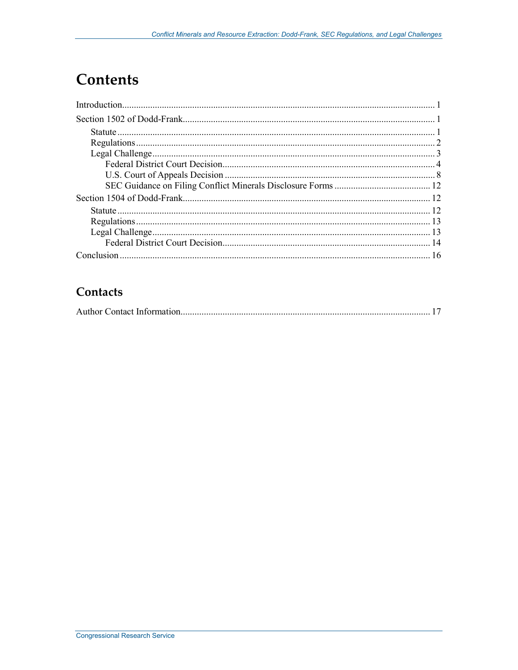## **Contents**

### Contacts

|--|--|--|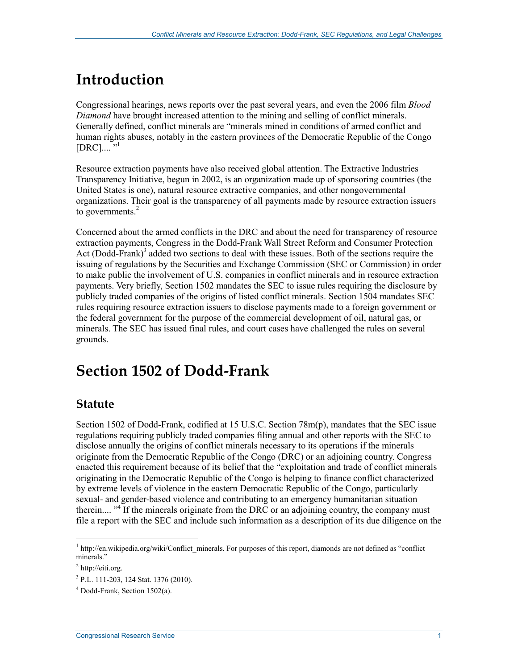## **Introduction**

Congressional hearings, news reports over the past several years, and even the 2006 film *Blood Diamond* have brought increased attention to the mining and selling of conflict minerals. Generally defined, conflict minerals are "minerals mined in conditions of armed conflict and human rights abuses, notably in the eastern provinces of the Democratic Republic of the Congo  $[DRC]$ .... "<sup>1</sup>

Resource extraction payments have also received global attention. The Extractive Industries Transparency Initiative, begun in 2002, is an organization made up of sponsoring countries (the United States is one), natural resource extractive companies, and other nongovernmental organizations. Their goal is the transparency of all payments made by resource extraction issuers to governments. $2$ 

Concerned about the armed conflicts in the DRC and about the need for transparency of resource extraction payments, Congress in the Dodd-Frank Wall Street Reform and Consumer Protection Act (Dodd-Frank)<sup>3</sup> added two sections to deal with these issues. Both of the sections require the issuing of regulations by the Securities and Exchange Commission (SEC or Commission) in order to make public the involvement of U.S. companies in conflict minerals and in resource extraction payments. Very briefly, Section 1502 mandates the SEC to issue rules requiring the disclosure by publicly traded companies of the origins of listed conflict minerals. Section 1504 mandates SEC rules requiring resource extraction issuers to disclose payments made to a foreign government or the federal government for the purpose of the commercial development of oil, natural gas, or minerals. The SEC has issued final rules, and court cases have challenged the rules on several grounds.

## **Section 1502 of Dodd-Frank**

### **Statute**

Section 1502 of Dodd-Frank, codified at 15 U.S.C. Section 78m(p), mandates that the SEC issue regulations requiring publicly traded companies filing annual and other reports with the SEC to disclose annually the origins of conflict minerals necessary to its operations if the minerals originate from the Democratic Republic of the Congo (DRC) or an adjoining country. Congress enacted this requirement because of its belief that the "exploitation and trade of conflict minerals originating in the Democratic Republic of the Congo is helping to finance conflict characterized by extreme levels of violence in the eastern Democratic Republic of the Congo, particularly sexual- and gender-based violence and contributing to an emergency humanitarian situation therein.... "<sup>4</sup> If the minerals originate from the DRC or an adjoining country, the company must file a report with the SEC and include such information as a description of its due diligence on the

<sup>&</sup>lt;sup>1</sup> http://en.wikipedia.org/wiki/Conflict\_minerals. For purposes of this report, diamonds are not defined as "conflict minerals."

<sup>&</sup>lt;sup>2</sup> http://eiti.org.

<sup>3</sup> P.L. 111-203, 124 Stat. 1376 (2010).

<sup>4</sup> Dodd-Frank, Section 1502(a).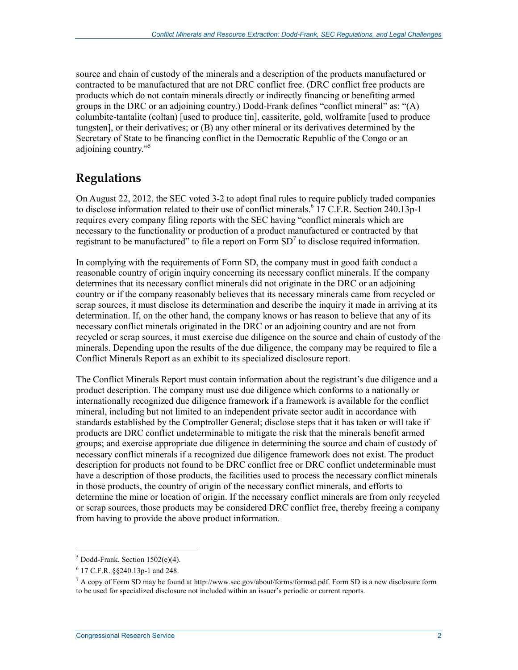source and chain of custody of the minerals and a description of the products manufactured or contracted to be manufactured that are not DRC conflict free. (DRC conflict free products are products which do not contain minerals directly or indirectly financing or benefiting armed groups in the DRC or an adjoining country.) Dodd-Frank defines "conflict mineral" as: "(A) columbite-tantalite (coltan) [used to produce tin], cassiterite, gold, wolframite [used to produce tungsten], or their derivatives; or (B) any other mineral or its derivatives determined by the Secretary of State to be financing conflict in the Democratic Republic of the Congo or an adjoining country."<sup>5</sup>

### **Regulations**

On August 22, 2012, the SEC voted 3-2 to adopt final rules to require publicly traded companies to disclose information related to their use of conflict minerals.<sup>6</sup> 17 C.F.R. Section 240.13p-1 requires every company filing reports with the SEC having "conflict minerals which are necessary to the functionality or production of a product manufactured or contracted by that registrant to be manufactured" to file a report on Form  $SD<sup>7</sup>$  to disclose required information.

In complying with the requirements of Form SD, the company must in good faith conduct a reasonable country of origin inquiry concerning its necessary conflict minerals. If the company determines that its necessary conflict minerals did not originate in the DRC or an adjoining country or if the company reasonably believes that its necessary minerals came from recycled or scrap sources, it must disclose its determination and describe the inquiry it made in arriving at its determination. If, on the other hand, the company knows or has reason to believe that any of its necessary conflict minerals originated in the DRC or an adjoining country and are not from recycled or scrap sources, it must exercise due diligence on the source and chain of custody of the minerals. Depending upon the results of the due diligence, the company may be required to file a Conflict Minerals Report as an exhibit to its specialized disclosure report.

The Conflict Minerals Report must contain information about the registrant's due diligence and a product description. The company must use due diligence which conforms to a nationally or internationally recognized due diligence framework if a framework is available for the conflict mineral, including but not limited to an independent private sector audit in accordance with standards established by the Comptroller General; disclose steps that it has taken or will take if products are DRC conflict undeterminable to mitigate the risk that the minerals benefit armed groups; and exercise appropriate due diligence in determining the source and chain of custody of necessary conflict minerals if a recognized due diligence framework does not exist. The product description for products not found to be DRC conflict free or DRC conflict undeterminable must have a description of those products, the facilities used to process the necessary conflict minerals in those products, the country of origin of the necessary conflict minerals, and efforts to determine the mine or location of origin. If the necessary conflict minerals are from only recycled or scrap sources, those products may be considered DRC conflict free, thereby freeing a company from having to provide the above product information.

 5 Dodd-Frank, Section 1502(e)(4).

<sup>6</sup> 17 C.F.R. §§240.13p-1 and 248.

 $^7$  A copy of Form SD may be found at http://www.sec.gov/about/forms/formsd.pdf. Form SD is a new disclosure form to be used for specialized disclosure not included within an issuer's periodic or current reports.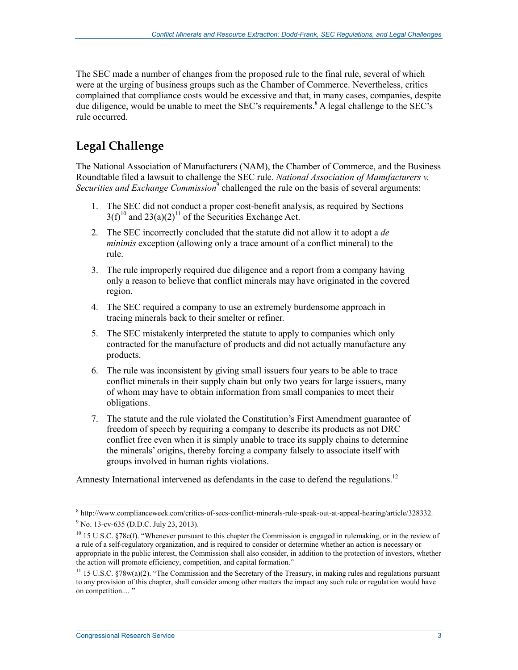The SEC made a number of changes from the proposed rule to the final rule, several of which were at the urging of business groups such as the Chamber of Commerce. Nevertheless, critics complained that compliance costs would be excessive and that, in many cases, companies, despite due diligence, would be unable to meet the SEC's requirements.<sup>8</sup> A legal challenge to the SEC's rule occurred.

## **Legal Challenge**

The National Association of Manufacturers (NAM), the Chamber of Commerce, and the Business Roundtable filed a lawsuit to challenge the SEC rule. *National Association of Manufacturers v. Securities and Exchange Commission*<sup>9</sup> challenged the rule on the basis of several arguments:

- 1. The SEC did not conduct a proper cost-benefit analysis, as required by Sections  $3(f)^{10}$  and  $23(a)(2)^{11}$  of the Securities Exchange Act.
- 2. The SEC incorrectly concluded that the statute did not allow it to adopt a *de minimis* exception (allowing only a trace amount of a conflict mineral) to the rule.
- 3. The rule improperly required due diligence and a report from a company having only a reason to believe that conflict minerals may have originated in the covered region.
- 4. The SEC required a company to use an extremely burdensome approach in tracing minerals back to their smelter or refiner.
- 5. The SEC mistakenly interpreted the statute to apply to companies which only contracted for the manufacture of products and did not actually manufacture any products.
- 6. The rule was inconsistent by giving small issuers four years to be able to trace conflict minerals in their supply chain but only two years for large issuers, many of whom may have to obtain information from small companies to meet their obligations.
- 7. The statute and the rule violated the Constitution's First Amendment guarantee of freedom of speech by requiring a company to describe its products as not DRC conflict free even when it is simply unable to trace its supply chains to determine the minerals' origins, thereby forcing a company falsely to associate itself with groups involved in human rights violations.

Amnesty International intervened as defendants in the case to defend the regulations.<sup>12</sup>

<sup>8</sup> http://www.complianceweek.com/critics-of-secs-conflict-minerals-rule-speak-out-at-appeal-hearing/article/328332. <sup>9</sup> No. 13-cv-635 (D.D.C. July 23, 2013).

 $10$  15 U.S.C. §78c(f). "Whenever pursuant to this chapter the Commission is engaged in rulemaking, or in the review of a rule of a self-regulatory organization, and is required to consider or determine whether an action is necessary or appropriate in the public interest, the Commission shall also consider, in addition to the protection of investors, whether the action will promote efficiency, competition, and capital formation."

<sup>&</sup>lt;sup>11</sup> 15 U.S.C. §78w(a)(2). "The Commission and the Secretary of the Treasury, in making rules and regulations pursuant to any provision of this chapter, shall consider among other matters the impact any such rule or regulation would have on competition...."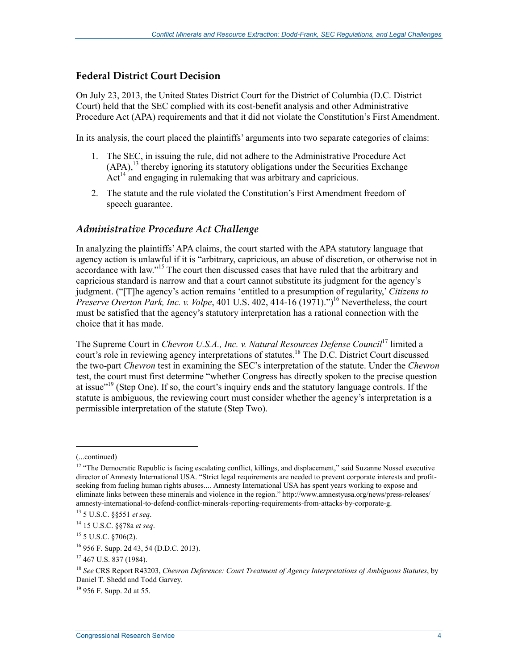#### **Federal District Court Decision**

On July 23, 2013, the United States District Court for the District of Columbia (D.C. District Court) held that the SEC complied with its cost-benefit analysis and other Administrative Procedure Act (APA) requirements and that it did not violate the Constitution's First Amendment.

In its analysis, the court placed the plaintiffs' arguments into two separate categories of claims:

- 1. The SEC, in issuing the rule, did not adhere to the Administrative Procedure Act  $(APA)$ ,<sup>13</sup> thereby ignoring its statutory obligations under the Securities Exchange  $Act<sup>14</sup>$  and engaging in rulemaking that was arbitrary and capricious.
- 2. The statute and the rule violated the Constitution's First Amendment freedom of speech guarantee.

#### *Administrative Procedure Act Challenge*

In analyzing the plaintiffs' APA claims, the court started with the APA statutory language that agency action is unlawful if it is "arbitrary, capricious, an abuse of discretion, or otherwise not in accordance with law."<sup>15</sup> The court then discussed cases that have ruled that the arbitrary and capricious standard is narrow and that a court cannot substitute its judgment for the agency's judgment. ("[T]he agency's action remains 'entitled to a presumption of regularity,' *Citizens to Preserve Overton Park, Inc. v. Volpe, 401 U.S. 402, 414-16 (1971)."*)<sup>16</sup> Nevertheless, the court must be satisfied that the agency's statutory interpretation has a rational connection with the choice that it has made.

The Supreme Court in *Chevron U.S.A., Inc. v. Natural Resources Defense Council*<sup>17</sup> limited a court's role in reviewing agency interpretations of statutes.<sup>18</sup> The D.C. District Court discussed the two-part *Chevron* test in examining the SEC's interpretation of the statute. Under the *Chevron* test, the court must first determine "whether Congress has directly spoken to the precise question at issue<sup>"19</sup> (Step One). If so, the court's inquiry ends and the statutory language controls. If the statute is ambiguous, the reviewing court must consider whether the agency's interpretation is a permissible interpretation of the statute (Step Two).

 $\overline{a}$ 

<sup>(...</sup>continued)

 $12$  "The Democratic Republic is facing escalating conflict, killings, and displacement," said Suzanne Nossel executive director of Amnesty International USA. "Strict legal requirements are needed to prevent corporate interests and profitseeking from fueling human rights abuses.... Amnesty International USA has spent years working to expose and eliminate links between these minerals and violence in the region." http://www.amnestyusa.org/news/press-releases/ amnesty-international-to-defend-conflict-minerals-reporting-requirements-from-attacks-by-corporate-g.

<sup>13 5</sup> U.S.C. §§551 *et seq*.

<sup>14 15</sup> U.S.C. §§78a *et seq*.

<sup>15 5</sup> U.S.C. §706(2).

<sup>16 956</sup> F. Supp. 2d 43, 54 (D.D.C. 2013).

<sup>17 467</sup> U.S. 837 (1984).

<sup>18</sup> *See* CRS Report R43203, *Chevron Deference: Court Treatment of Agency Interpretations of Ambiguous Statutes*, by Daniel T. Shedd and Todd Garvey.

 $19\,956$  F. Supp. 2d at 55.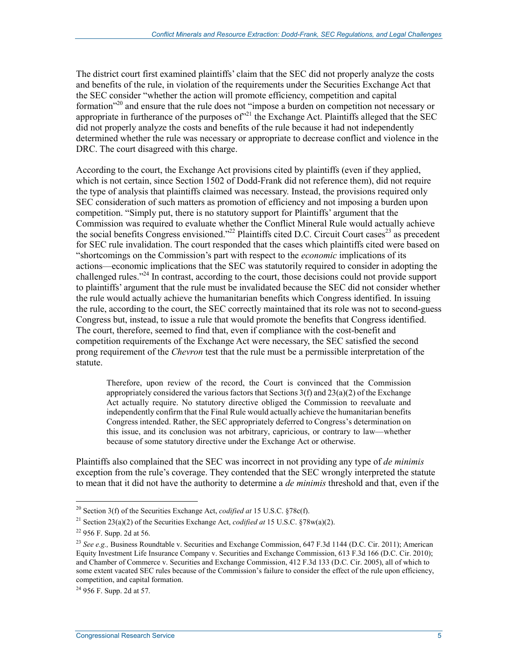The district court first examined plaintiffs' claim that the SEC did not properly analyze the costs and benefits of the rule, in violation of the requirements under the Securities Exchange Act that the SEC consider "whether the action will promote efficiency, competition and capital formation<sup>"20</sup> and ensure that the rule does not "impose a burden on competition not necessary or appropriate in furtherance of the purposes of  $n^{21}$  the Exchange Act. Plaintiffs alleged that the SEC did not properly analyze the costs and benefits of the rule because it had not independently determined whether the rule was necessary or appropriate to decrease conflict and violence in the DRC. The court disagreed with this charge.

According to the court, the Exchange Act provisions cited by plaintiffs (even if they applied, which is not certain, since Section 1502 of Dodd-Frank did not reference them), did not require the type of analysis that plaintiffs claimed was necessary. Instead, the provisions required only SEC consideration of such matters as promotion of efficiency and not imposing a burden upon competition. "Simply put, there is no statutory support for Plaintiffs' argument that the Commission was required to evaluate whether the Conflict Mineral Rule would actually achieve the social benefits Congress envisioned."<sup>22</sup> Plaintiffs cited D.C. Circuit Court cases<sup>23</sup> as precedent for SEC rule invalidation. The court responded that the cases which plaintiffs cited were based on "shortcomings on the Commission's part with respect to the *economic* implications of its actions—economic implications that the SEC was statutorily required to consider in adopting the challenged rules."24 In contrast, according to the court, those decisions could not provide support to plaintiffs' argument that the rule must be invalidated because the SEC did not consider whether the rule would actually achieve the humanitarian benefits which Congress identified. In issuing the rule, according to the court, the SEC correctly maintained that its role was not to second-guess Congress but, instead, to issue a rule that would promote the benefits that Congress identified. The court, therefore, seemed to find that, even if compliance with the cost-benefit and competition requirements of the Exchange Act were necessary, the SEC satisfied the second prong requirement of the *Chevron* test that the rule must be a permissible interpretation of the statute.

Therefore, upon review of the record, the Court is convinced that the Commission appropriately considered the various factors that Sections  $3(f)$  and  $23(a)(2)$  of the Exchange Act actually require. No statutory directive obliged the Commission to reevaluate and independently confirm that the Final Rule would actually achieve the humanitarian benefits Congress intended. Rather, the SEC appropriately deferred to Congress's determination on this issue, and its conclusion was not arbitrary, capricious, or contrary to law—whether because of some statutory directive under the Exchange Act or otherwise.

Plaintiffs also complained that the SEC was incorrect in not providing any type of *de minimis* exception from the rule's coverage. They contended that the SEC wrongly interpreted the statute to mean that it did not have the authority to determine a *de minimis* threshold and that, even if the

<sup>20</sup> Section 3(f) of the Securities Exchange Act, *codified at* 15 U.S.C. §78c(f).

<sup>21</sup> Section 23(a)(2) of the Securities Exchange Act, *codified at* 15 U.S.C. §78w(a)(2).

<sup>22 956</sup> F. Supp. 2d at 56.

<sup>23</sup> *See e.g.,* Business Roundtable v. Securities and Exchange Commission, 647 F.3d 1144 (D.C. Cir. 2011); American Equity Investment Life Insurance Company v. Securities and Exchange Commission, 613 F.3d 166 (D.C. Cir. 2010); and Chamber of Commerce v. Securities and Exchange Commission, 412 F.3d 133 (D.C. Cir. 2005), all of which to some extent vacated SEC rules because of the Commission's failure to consider the effect of the rule upon efficiency, competition, and capital formation.

 $24$  956 F. Supp. 2d at 57.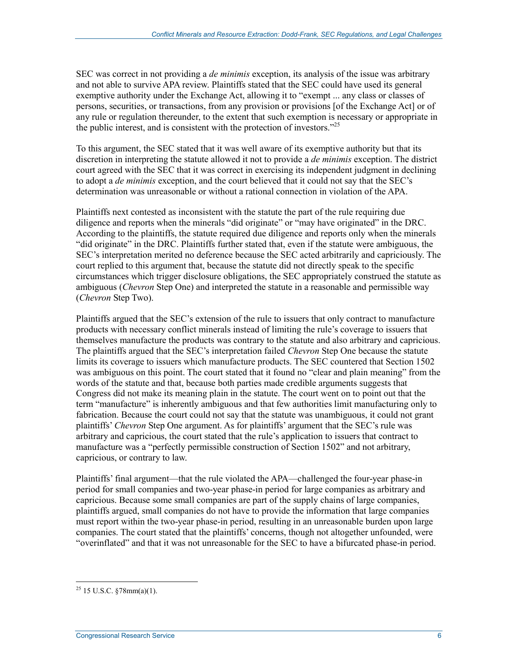SEC was correct in not providing a *de minimis* exception, its analysis of the issue was arbitrary and not able to survive APA review. Plaintiffs stated that the SEC could have used its general exemptive authority under the Exchange Act, allowing it to "exempt ... any class or classes of persons, securities, or transactions, from any provision or provisions [of the Exchange Act] or of any rule or regulation thereunder, to the extent that such exemption is necessary or appropriate in the public interest, and is consistent with the protection of investors."25

To this argument, the SEC stated that it was well aware of its exemptive authority but that its discretion in interpreting the statute allowed it not to provide a *de minimis* exception. The district court agreed with the SEC that it was correct in exercising its independent judgment in declining to adopt a *de minimis* exception, and the court believed that it could not say that the SEC's determination was unreasonable or without a rational connection in violation of the APA.

Plaintiffs next contested as inconsistent with the statute the part of the rule requiring due diligence and reports when the minerals "did originate" or "may have originated" in the DRC. According to the plaintiffs, the statute required due diligence and reports only when the minerals "did originate" in the DRC. Plaintiffs further stated that, even if the statute were ambiguous, the SEC's interpretation merited no deference because the SEC acted arbitrarily and capriciously. The court replied to this argument that, because the statute did not directly speak to the specific circumstances which trigger disclosure obligations, the SEC appropriately construed the statute as ambiguous (*Chevron* Step One) and interpreted the statute in a reasonable and permissible way (*Chevron* Step Two).

Plaintiffs argued that the SEC's extension of the rule to issuers that only contract to manufacture products with necessary conflict minerals instead of limiting the rule's coverage to issuers that themselves manufacture the products was contrary to the statute and also arbitrary and capricious. The plaintiffs argued that the SEC's interpretation failed *Chevron* Step One because the statute limits its coverage to issuers which manufacture products. The SEC countered that Section 1502 was ambiguous on this point. The court stated that it found no "clear and plain meaning" from the words of the statute and that, because both parties made credible arguments suggests that Congress did not make its meaning plain in the statute. The court went on to point out that the term "manufacture" is inherently ambiguous and that few authorities limit manufacturing only to fabrication. Because the court could not say that the statute was unambiguous, it could not grant plaintiffs' *Chevron* Step One argument. As for plaintiffs' argument that the SEC's rule was arbitrary and capricious, the court stated that the rule's application to issuers that contract to manufacture was a "perfectly permissible construction of Section 1502" and not arbitrary, capricious, or contrary to law.

Plaintiffs' final argument—that the rule violated the APA—challenged the four-year phase-in period for small companies and two-year phase-in period for large companies as arbitrary and capricious. Because some small companies are part of the supply chains of large companies, plaintiffs argued, small companies do not have to provide the information that large companies must report within the two-year phase-in period, resulting in an unreasonable burden upon large companies. The court stated that the plaintiffs' concerns, though not altogether unfounded, were "overinflated" and that it was not unreasonable for the SEC to have a bifurcated phase-in period.

<u>.</u>

 $^{25}$  15 U.S.C. §78mm(a)(1).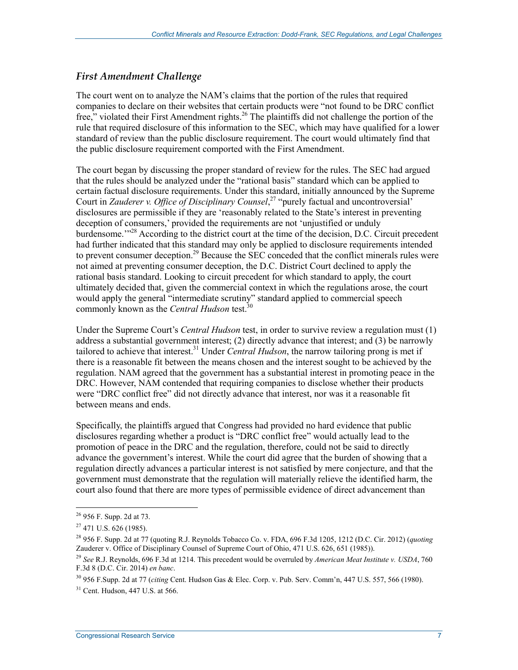#### *First Amendment Challenge*

The court went on to analyze the NAM's claims that the portion of the rules that required companies to declare on their websites that certain products were "not found to be DRC conflict free," violated their First Amendment rights.<sup>26</sup> The plaintiffs did not challenge the portion of the rule that required disclosure of this information to the SEC, which may have qualified for a lower standard of review than the public disclosure requirement. The court would ultimately find that the public disclosure requirement comported with the First Amendment.

The court began by discussing the proper standard of review for the rules. The SEC had argued that the rules should be analyzed under the "rational basis" standard which can be applied to certain factual disclosure requirements. Under this standard, initially announced by the Supreme Court in *Zauderer v. Office of Disciplinary Counsel*<sup>27</sup> "purely factual and uncontroversial" disclosures are permissible if they are 'reasonably related to the State's interest in preventing deception of consumers,' provided the requirements are not 'unjustified or unduly burdensome."<sup>28</sup> According to the district court at the time of the decision, D.C. Circuit precedent had further indicated that this standard may only be applied to disclosure requirements intended to prevent consumer deception.<sup>29</sup> Because the SEC conceded that the conflict minerals rules were not aimed at preventing consumer deception, the D.C. District Court declined to apply the rational basis standard. Looking to circuit precedent for which standard to apply, the court ultimately decided that, given the commercial context in which the regulations arose, the court would apply the general "intermediate scrutiny" standard applied to commercial speech commonly known as the *Central Hudson* test.<sup>30</sup>

Under the Supreme Court's *Central Hudson* test, in order to survive review a regulation must (1) address a substantial government interest; (2) directly advance that interest; and (3) be narrowly tailored to achieve that interest.31 Under *Central Hudson*, the narrow tailoring prong is met if there is a reasonable fit between the means chosen and the interest sought to be achieved by the regulation. NAM agreed that the government has a substantial interest in promoting peace in the DRC. However, NAM contended that requiring companies to disclose whether their products were "DRC conflict free" did not directly advance that interest, nor was it a reasonable fit between means and ends.

Specifically, the plaintiffs argued that Congress had provided no hard evidence that public disclosures regarding whether a product is "DRC conflict free" would actually lead to the promotion of peace in the DRC and the regulation, therefore, could not be said to directly advance the government's interest. While the court did agree that the burden of showing that a regulation directly advances a particular interest is not satisfied by mere conjecture, and that the government must demonstrate that the regulation will materially relieve the identified harm, the court also found that there are more types of permissible evidence of direct advancement than

<sup>&</sup>lt;sup>26</sup> 956 F. Supp. 2d at 73.

 $27$  471 U.S. 626 (1985).

<sup>28 956</sup> F. Supp. 2d at 77 (quoting R.J. Reynolds Tobacco Co. v. FDA, 696 F.3d 1205, 1212 (D.C. Cir. 2012) (*quoting* Zauderer v. Office of Disciplinary Counsel of Supreme Court of Ohio, 471 U.S. 626, 651 (1985)).

<sup>29</sup> *See* R.J. Reynolds, 696 F.3d at 1214. This precedent would be overruled by *American Meat Institute v. USDA*, 760 F.3d 8 (D.C. Cir. 2014) *en banc*.

<sup>30 956</sup> F.Supp. 2d at 77 (*citing* Cent. Hudson Gas & Elec. Corp. v. Pub. Serv. Comm'n, 447 U.S. 557, 566 (1980).

<sup>31</sup> Cent. Hudson, 447 U.S. at 566.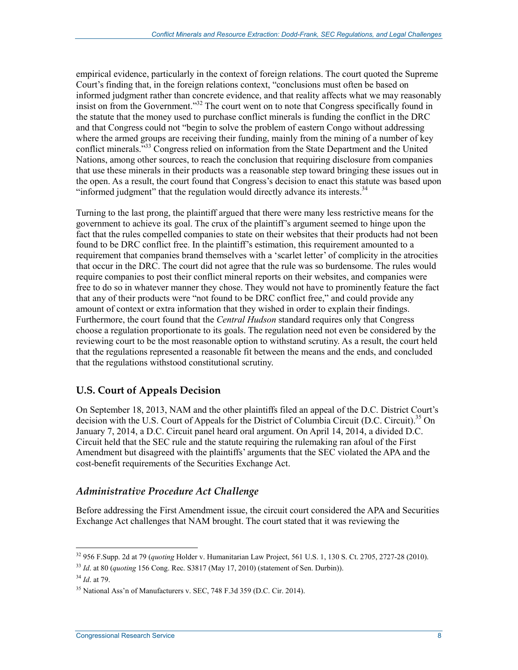empirical evidence, particularly in the context of foreign relations. The court quoted the Supreme Court's finding that, in the foreign relations context, "conclusions must often be based on informed judgment rather than concrete evidence, and that reality affects what we may reasonably insist on from the Government.<sup>33</sup> The court went on to note that Congress specifically found in the statute that the money used to purchase conflict minerals is funding the conflict in the DRC and that Congress could not "begin to solve the problem of eastern Congo without addressing where the armed groups are receiving their funding, mainly from the mining of a number of key conflict minerals."33 Congress relied on information from the State Department and the United Nations, among other sources, to reach the conclusion that requiring disclosure from companies that use these minerals in their products was a reasonable step toward bringing these issues out in the open. As a result, the court found that Congress's decision to enact this statute was based upon "informed judgment" that the regulation would directly advance its interests.<sup>34</sup>

Turning to the last prong, the plaintiff argued that there were many less restrictive means for the government to achieve its goal. The crux of the plaintiff's argument seemed to hinge upon the fact that the rules compelled companies to state on their websites that their products had not been found to be DRC conflict free. In the plaintiff's estimation, this requirement amounted to a requirement that companies brand themselves with a 'scarlet letter' of complicity in the atrocities that occur in the DRC. The court did not agree that the rule was so burdensome. The rules would require companies to post their conflict mineral reports on their websites, and companies were free to do so in whatever manner they chose. They would not have to prominently feature the fact that any of their products were "not found to be DRC conflict free," and could provide any amount of context or extra information that they wished in order to explain their findings. Furthermore, the court found that the *Central Hudson* standard requires only that Congress choose a regulation proportionate to its goals. The regulation need not even be considered by the reviewing court to be the most reasonable option to withstand scrutiny. As a result, the court held that the regulations represented a reasonable fit between the means and the ends, and concluded that the regulations withstood constitutional scrutiny.

#### **U.S. Court of Appeals Decision**

On September 18, 2013, NAM and the other plaintiffs filed an appeal of the D.C. District Court's decision with the U.S. Court of Appeals for the District of Columbia Circuit (D.C. Circuit).<sup>35</sup> On January 7, 2014, a D.C. Circuit panel heard oral argument. On April 14, 2014, a divided D.C. Circuit held that the SEC rule and the statute requiring the rulemaking ran afoul of the First Amendment but disagreed with the plaintiffs' arguments that the SEC violated the APA and the cost-benefit requirements of the Securities Exchange Act.

#### *Administrative Procedure Act Challenge*

Before addressing the First Amendment issue, the circuit court considered the APA and Securities Exchange Act challenges that NAM brought. The court stated that it was reviewing the

<sup>32 956</sup> F.Supp. 2d at 79 (*quoting* Holder v. Humanitarian Law Project, 561 U.S. 1, 130 S. Ct. 2705, 2727-28 (2010).

<sup>33</sup> *Id*. at 80 (*quoting* 156 Cong. Rec. S3817 (May 17, 2010) (statement of Sen. Durbin)).

<sup>34</sup> *Id*. at 79.

<sup>&</sup>lt;sup>35</sup> National Ass'n of Manufacturers v. SEC, 748 F.3d 359 (D.C. Cir. 2014).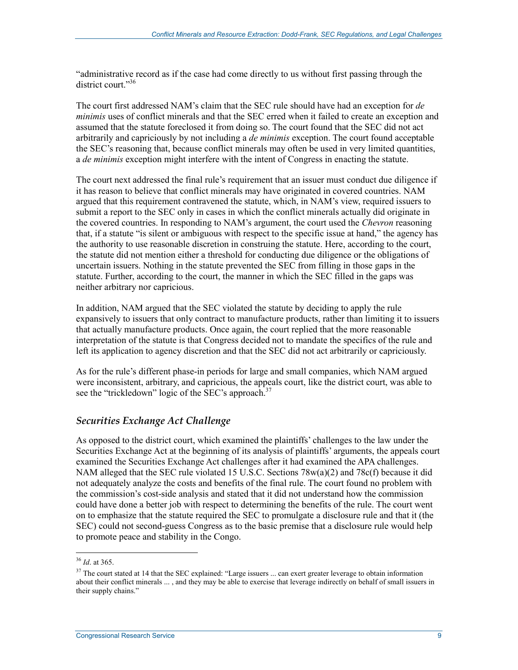"administrative record as if the case had come directly to us without first passing through the district court."36

The court first addressed NAM's claim that the SEC rule should have had an exception for *de minimis* uses of conflict minerals and that the SEC erred when it failed to create an exception and assumed that the statute foreclosed it from doing so. The court found that the SEC did not act arbitrarily and capriciously by not including a *de minimis* exception. The court found acceptable the SEC's reasoning that, because conflict minerals may often be used in very limited quantities, a *de minimis* exception might interfere with the intent of Congress in enacting the statute.

The court next addressed the final rule's requirement that an issuer must conduct due diligence if it has reason to believe that conflict minerals may have originated in covered countries. NAM argued that this requirement contravened the statute, which, in NAM's view, required issuers to submit a report to the SEC only in cases in which the conflict minerals actually did originate in the covered countries. In responding to NAM's argument, the court used the *Chevron* reasoning that, if a statute "is silent or ambiguous with respect to the specific issue at hand," the agency has the authority to use reasonable discretion in construing the statute. Here, according to the court, the statute did not mention either a threshold for conducting due diligence or the obligations of uncertain issuers. Nothing in the statute prevented the SEC from filling in those gaps in the statute. Further, according to the court, the manner in which the SEC filled in the gaps was neither arbitrary nor capricious.

In addition, NAM argued that the SEC violated the statute by deciding to apply the rule expansively to issuers that only contract to manufacture products, rather than limiting it to issuers that actually manufacture products. Once again, the court replied that the more reasonable interpretation of the statute is that Congress decided not to mandate the specifics of the rule and left its application to agency discretion and that the SEC did not act arbitrarily or capriciously.

As for the rule's different phase-in periods for large and small companies, which NAM argued were inconsistent, arbitrary, and capricious, the appeals court, like the district court, was able to see the "trickledown" logic of the SEC's approach.<sup>37</sup>

#### *Securities Exchange Act Challenge*

As opposed to the district court, which examined the plaintiffs' challenges to the law under the Securities Exchange Act at the beginning of its analysis of plaintiffs' arguments, the appeals court examined the Securities Exchange Act challenges after it had examined the APA challenges. NAM alleged that the SEC rule violated 15 U.S.C. Sections 78w(a)(2) and 78c(f) because it did not adequately analyze the costs and benefits of the final rule. The court found no problem with the commission's cost-side analysis and stated that it did not understand how the commission could have done a better job with respect to determining the benefits of the rule. The court went on to emphasize that the statute required the SEC to promulgate a disclosure rule and that it (the SEC) could not second-guess Congress as to the basic premise that a disclosure rule would help to promote peace and stability in the Congo.

<sup>36</sup> *Id*. at 365.

<sup>&</sup>lt;sup>37</sup> The court stated at 14 that the SEC explained: "Large issuers ... can exert greater leverage to obtain information about their conflict minerals ... , and they may be able to exercise that leverage indirectly on behalf of small issuers in their supply chains."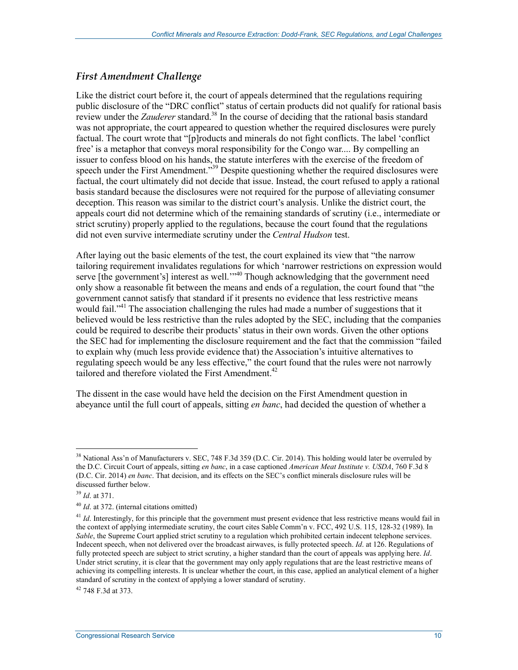#### *First Amendment Challenge*

Like the district court before it, the court of appeals determined that the regulations requiring public disclosure of the "DRC conflict" status of certain products did not qualify for rational basis review under the *Zauderer* standard.<sup>38</sup> In the course of deciding that the rational basis standard was not appropriate, the court appeared to question whether the required disclosures were purely factual. The court wrote that "[p]roducts and minerals do not fight conflicts. The label 'conflict free' is a metaphor that conveys moral responsibility for the Congo war.... By compelling an issuer to confess blood on his hands, the statute interferes with the exercise of the freedom of speech under the First Amendment.<sup>339</sup> Despite questioning whether the required disclosures were factual, the court ultimately did not decide that issue. Instead, the court refused to apply a rational basis standard because the disclosures were not required for the purpose of alleviating consumer deception. This reason was similar to the district court's analysis. Unlike the district court, the appeals court did not determine which of the remaining standards of scrutiny (i.e., intermediate or strict scrutiny) properly applied to the regulations, because the court found that the regulations did not even survive intermediate scrutiny under the *Central Hudson* test.

After laying out the basic elements of the test, the court explained its view that "the narrow tailoring requirement invalidates regulations for which 'narrower restrictions on expression would serve [the government's] interest as well.<sup>'"40</sup> Though acknowledging that the government need only show a reasonable fit between the means and ends of a regulation, the court found that "the government cannot satisfy that standard if it presents no evidence that less restrictive means would fail."<sup>41</sup> The association challenging the rules had made a number of suggestions that it believed would be less restrictive than the rules adopted by the SEC, including that the companies could be required to describe their products' status in their own words. Given the other options the SEC had for implementing the disclosure requirement and the fact that the commission "failed to explain why (much less provide evidence that) the Association's intuitive alternatives to regulating speech would be any less effective," the court found that the rules were not narrowly tailored and therefore violated the First Amendment.<sup>42</sup>

The dissent in the case would have held the decision on the First Amendment question in abeyance until the full court of appeals, sitting *en banc*, had decided the question of whether a

1

42 748 F.3d at 373.

<sup>&</sup>lt;sup>38</sup> National Ass'n of Manufacturers v. SEC, 748 F.3d 359 (D.C. Cir. 2014). This holding would later be overruled by the D.C. Circuit Court of appeals, sitting *en banc*, in a case captioned *American Meat Institute v. USDA*, 760 F.3d 8 (D.C. Cir. 2014) *en banc*. That decision, and its effects on the SEC's conflict minerals disclosure rules will be discussed further below.

<sup>39</sup> *Id*. at 371.

<sup>40</sup> *Id*. at 372. (internal citations omitted)

<sup>&</sup>lt;sup>41</sup> *Id*. Interestingly, for this principle that the government must present evidence that less restrictive means would fail in the context of applying intermediate scrutiny, the court cites Sable Comm'n v. FCC, 492 U.S. 115, 128-32 (1989). In *Sable*, the Supreme Court applied strict scrutiny to a regulation which prohibited certain indecent telephone services. Indecent speech, when not delivered over the broadcast airwaves, is fully protected speech. *Id*. at 126. Regulations of fully protected speech are subject to strict scrutiny, a higher standard than the court of appeals was applying here. *Id*. Under strict scrutiny, it is clear that the government may only apply regulations that are the least restrictive means of achieving its compelling interests. It is unclear whether the court, in this case, applied an analytical element of a higher standard of scrutiny in the context of applying a lower standard of scrutiny.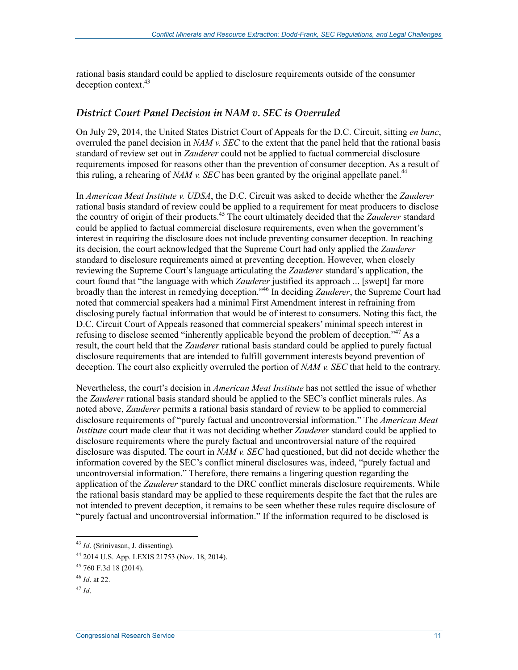rational basis standard could be applied to disclosure requirements outside of the consumer deception context.<sup>43</sup>

#### *District Court Panel Decision in NAM v. SEC is Overruled*

On July 29, 2014, the United States District Court of Appeals for the D.C. Circuit, sitting *en banc*, overruled the panel decision in *NAM v. SEC* to the extent that the panel held that the rational basis standard of review set out in *Zauderer* could not be applied to factual commercial disclosure requirements imposed for reasons other than the prevention of consumer deception. As a result of this ruling, a rehearing of *NAM v. SEC* has been granted by the original appellate panel.<sup>44</sup>

In *American Meat Institute v. UDSA*, the D.C. Circuit was asked to decide whether the *Zauderer*  rational basis standard of review could be applied to a requirement for meat producers to disclose the country of origin of their products.45 The court ultimately decided that the *Zauderer* standard could be applied to factual commercial disclosure requirements, even when the government's interest in requiring the disclosure does not include preventing consumer deception. In reaching its decision, the court acknowledged that the Supreme Court had only applied the *Zauderer* standard to disclosure requirements aimed at preventing deception. However, when closely reviewing the Supreme Court's language articulating the *Zauderer* standard's application, the court found that "the language with which *Zauderer* justified its approach ... [swept] far more broadly than the interest in remedying deception."46 In deciding *Zauderer*, the Supreme Court had noted that commercial speakers had a minimal First Amendment interest in refraining from disclosing purely factual information that would be of interest to consumers. Noting this fact, the D.C. Circuit Court of Appeals reasoned that commercial speakers' minimal speech interest in refusing to disclose seemed "inherently applicable beyond the problem of deception."<sup>47</sup> As a result, the court held that the *Zauderer* rational basis standard could be applied to purely factual disclosure requirements that are intended to fulfill government interests beyond prevention of deception. The court also explicitly overruled the portion of *NAM v. SEC* that held to the contrary.

Nevertheless, the court's decision in *American Meat Institute* has not settled the issue of whether the *Zauderer* rational basis standard should be applied to the SEC's conflict minerals rules. As noted above, *Zauderer* permits a rational basis standard of review to be applied to commercial disclosure requirements of "purely factual and uncontroversial information." The *American Meat Institute* court made clear that it was not deciding whether *Zauderer* standard could be applied to disclosure requirements where the purely factual and uncontroversial nature of the required disclosure was disputed. The court in *NAM v. SEC* had questioned, but did not decide whether the information covered by the SEC's conflict mineral disclosures was, indeed, "purely factual and uncontroversial information." Therefore, there remains a lingering question regarding the application of the *Zauderer* standard to the DRC conflict minerals disclosure requirements. While the rational basis standard may be applied to these requirements despite the fact that the rules are not intended to prevent deception, it remains to be seen whether these rules require disclosure of "purely factual and uncontroversial information." If the information required to be disclosed is

<sup>43</sup> *Id*. (Srinivasan, J. dissenting).

<sup>44 2014</sup> U.S. App. LEXIS 21753 (Nov. 18, 2014).

<sup>45 760</sup> F.3d 18 (2014).

<sup>46</sup> *Id*. at 22.

<sup>47</sup> *Id*.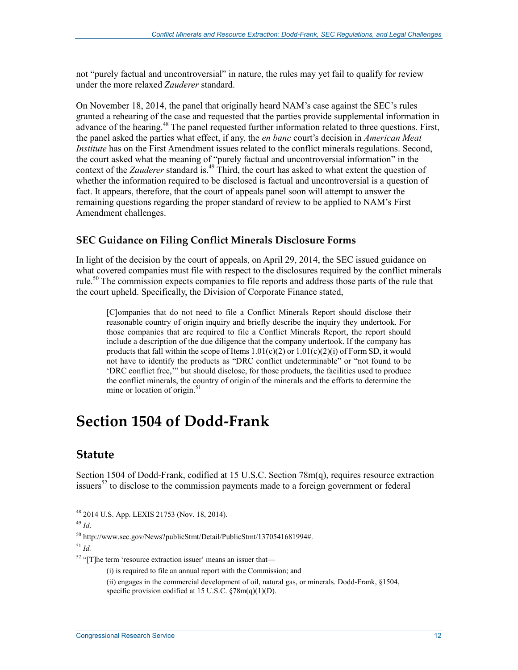not "purely factual and uncontroversial" in nature, the rules may yet fail to qualify for review under the more relaxed *Zauderer* standard.

On November 18, 2014, the panel that originally heard NAM's case against the SEC's rules granted a rehearing of the case and requested that the parties provide supplemental information in advance of the hearing.<sup>48</sup> The panel requested further information related to three questions. First, the panel asked the parties what effect, if any, the *en banc* court's decision in *American Meat Institute* has on the First Amendment issues related to the conflict minerals regulations. Second, the court asked what the meaning of "purely factual and uncontroversial information" in the context of the *Zauderer* standard is.<sup>49</sup> Third, the court has asked to what extent the question of whether the information required to be disclosed is factual and uncontroversial is a question of fact. It appears, therefore, that the court of appeals panel soon will attempt to answer the remaining questions regarding the proper standard of review to be applied to NAM's First Amendment challenges.

#### **SEC Guidance on Filing Conflict Minerals Disclosure Forms**

In light of the decision by the court of appeals, on April 29, 2014, the SEC issued guidance on what covered companies must file with respect to the disclosures required by the conflict minerals rule.<sup>50</sup> The commission expects companies to file reports and address those parts of the rule that the court upheld. Specifically, the Division of Corporate Finance stated,

[C]ompanies that do not need to file a Conflict Minerals Report should disclose their reasonable country of origin inquiry and briefly describe the inquiry they undertook. For those companies that are required to file a Conflict Minerals Report, the report should include a description of the due diligence that the company undertook. If the company has products that fall within the scope of Items  $1.01(c)(2)$  or  $1.01(c)(2)(i)$  of Form SD, it would not have to identify the products as "DRC conflict undeterminable" or "not found to be 'DRC conflict free,'" but should disclose, for those products, the facilities used to produce the conflict minerals, the country of origin of the minerals and the efforts to determine the mine or location of origin. $51$ 

## **Section 1504 of Dodd-Frank**

#### **Statute**

Section 1504 of Dodd-Frank, codified at 15 U.S.C. Section 78m(q), requires resource extraction issuers<sup>52</sup> to disclose to the commission payments made to a foreign government or federal

1

(i) is required to file an annual report with the Commission; and

<sup>48 2014</sup> U.S. App. LEXIS 21753 (Nov. 18, 2014).

<sup>49</sup> *Id*.

<sup>50</sup> http://www.sec.gov/News?publicStmt/Detail/PublicStmt/1370541681994#.

<sup>51</sup> *Id.* 

<sup>52 &</sup>quot;[T]he term 'resource extraction issuer' means an issuer that—

<sup>(</sup>ii) engages in the commercial development of oil, natural gas, or minerals. Dodd-Frank, §1504,

specific provision codified at 15 U.S.C.  $\frac{$78m(q)(1)(D)}{2}$ .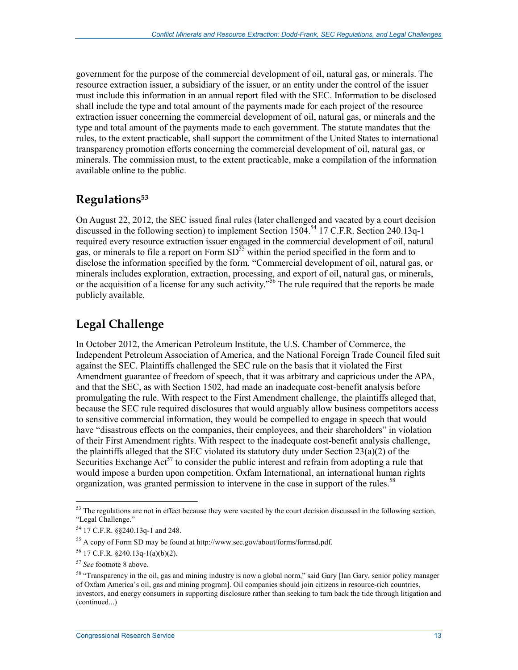government for the purpose of the commercial development of oil, natural gas, or minerals. The resource extraction issuer, a subsidiary of the issuer, or an entity under the control of the issuer must include this information in an annual report filed with the SEC. Information to be disclosed shall include the type and total amount of the payments made for each project of the resource extraction issuer concerning the commercial development of oil, natural gas, or minerals and the type and total amount of the payments made to each government. The statute mandates that the rules, to the extent practicable, shall support the commitment of the United States to international transparency promotion efforts concerning the commercial development of oil, natural gas, or minerals. The commission must, to the extent practicable, make a compilation of the information available online to the public.

### **Regulations53**

On August 22, 2012, the SEC issued final rules (later challenged and vacated by a court decision discussed in the following section) to implement Section 1504.54 17 C.F.R. Section 240.13q-1 required every resource extraction issuer engaged in the commercial development of oil, natural gas, or minerals to file a report on Form  $SD<sup>55</sup>$  within the period specified in the form and to disclose the information specified by the form. "Commercial development of oil, natural gas, or minerals includes exploration, extraction, processing, and export of oil, natural gas, or minerals, or the acquisition of a license for any such activity.<sup>556</sup> The rule required that the reports be made publicly available.

### **Legal Challenge**

In October 2012, the American Petroleum Institute, the U.S. Chamber of Commerce, the Independent Petroleum Association of America, and the National Foreign Trade Council filed suit against the SEC. Plaintiffs challenged the SEC rule on the basis that it violated the First Amendment guarantee of freedom of speech, that it was arbitrary and capricious under the APA, and that the SEC, as with Section 1502, had made an inadequate cost-benefit analysis before promulgating the rule. With respect to the First Amendment challenge, the plaintiffs alleged that, because the SEC rule required disclosures that would arguably allow business competitors access to sensitive commercial information, they would be compelled to engage in speech that would have "disastrous effects on the companies, their employees, and their shareholders" in violation of their First Amendment rights. With respect to the inadequate cost-benefit analysis challenge, the plaintiffs alleged that the SEC violated its statutory duty under Section 23(a)(2) of the Securities Exchange  $Act^{57}$  to consider the public interest and refrain from adopting a rule that would impose a burden upon competition. Oxfam International, an international human rights organization, was granted permission to intervene in the case in support of the rules.<sup>58</sup>

 $53$  The regulations are not in effect because they were vacated by the court decision discussed in the following section, "Legal Challenge."

<sup>54 17</sup> C.F.R. §§240.13q-1 and 248.

<sup>55</sup> A copy of Form SD may be found at http://www.sec.gov/about/forms/formsd.pdf.

<sup>56 17</sup> C.F.R. §240.13q-1(a)(b)(2).

<sup>57</sup> *See* footnote 8 above.

<sup>&</sup>lt;sup>58</sup> "Transparency in the oil, gas and mining industry is now a global norm," said Gary [Ian Gary, senior policy manager of Oxfam America's oil, gas and mining program]. Oil companies should join citizens in resource-rich countries, investors, and energy consumers in supporting disclosure rather than seeking to turn back the tide through litigation and (continued...)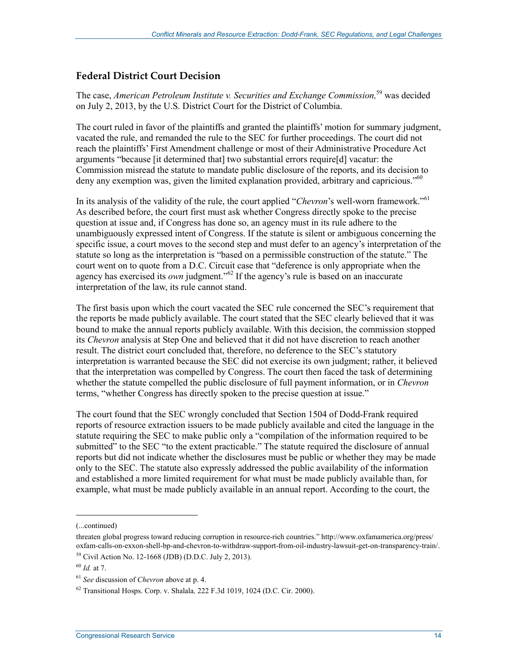#### **Federal District Court Decision**

The case, *American Petroleum Institute v. Securities and Exchange Commission,*59 was decided on July 2, 2013, by the U.S. District Court for the District of Columbia.

The court ruled in favor of the plaintiffs and granted the plaintiffs' motion for summary judgment, vacated the rule, and remanded the rule to the SEC for further proceedings. The court did not reach the plaintiffs' First Amendment challenge or most of their Administrative Procedure Act arguments "because [it determined that] two substantial errors require[d] vacatur: the Commission misread the statute to mandate public disclosure of the reports, and its decision to deny any exemption was, given the limited explanation provided, arbitrary and capricious.<sup> $50$ </sup>

In its analysis of the validity of the rule, the court applied "*Chevron*'s well-worn framework."<sup>61</sup> As described before, the court first must ask whether Congress directly spoke to the precise question at issue and, if Congress has done so, an agency must in its rule adhere to the unambiguously expressed intent of Congress. If the statute is silent or ambiguous concerning the specific issue, a court moves to the second step and must defer to an agency's interpretation of the statute so long as the interpretation is "based on a permissible construction of the statute." The court went on to quote from a D.C. Circuit case that "deference is only appropriate when the agency has exercised its *own* judgment.<sup>"62</sup> If the agency's rule is based on an inaccurate interpretation of the law, its rule cannot stand.

The first basis upon which the court vacated the SEC rule concerned the SEC's requirement that the reports be made publicly available. The court stated that the SEC clearly believed that it was bound to make the annual reports publicly available. With this decision, the commission stopped its *Chevron* analysis at Step One and believed that it did not have discretion to reach another result. The district court concluded that, therefore, no deference to the SEC's statutory interpretation is warranted because the SEC did not exercise its own judgment; rather, it believed that the interpretation was compelled by Congress. The court then faced the task of determining whether the statute compelled the public disclosure of full payment information, or in *Chevron* terms, "whether Congress has directly spoken to the precise question at issue."

The court found that the SEC wrongly concluded that Section 1504 of Dodd-Frank required reports of resource extraction issuers to be made publicly available and cited the language in the statute requiring the SEC to make public only a "compilation of the information required to be submitted" to the SEC "to the extent practicable." The statute required the disclosure of annual reports but did not indicate whether the disclosures must be public or whether they may be made only to the SEC. The statute also expressly addressed the public availability of the information and established a more limited requirement for what must be made publicly available than, for example, what must be made publicly available in an annual report. According to the court, the

<sup>(...</sup>continued)

threaten global progress toward reducing corruption in resource-rich countries." http://www.oxfamamerica.org/press/ oxfam-calls-on-exxon-shell-bp-and-chevron-to-withdraw-support-from-oil-industry-lawsuit-get-on-transparency-train/. 59 Civil Action No. 12-1668 (JDB) (D.D.C. July 2, 2013).

<sup>60</sup> *Id.* at 7.

<sup>61</sup> *See* discussion of *Chevron* above at p. 4.

<sup>62</sup> Transitional Hosps. Corp. v. Shalala*,* 222 F.3d 1019, 1024 (D.C. Cir. 2000).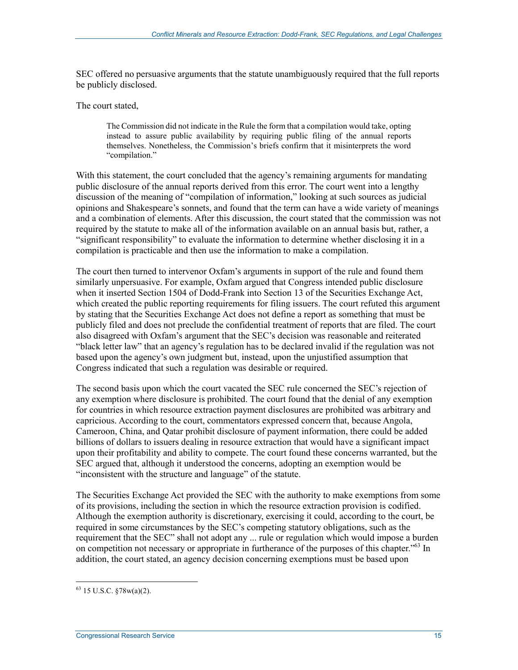SEC offered no persuasive arguments that the statute unambiguously required that the full reports be publicly disclosed.

The court stated,

The Commission did not indicate in the Rule the form that a compilation would take, opting instead to assure public availability by requiring public filing of the annual reports themselves. Nonetheless, the Commission's briefs confirm that it misinterprets the word "compilation."

With this statement, the court concluded that the agency's remaining arguments for mandating public disclosure of the annual reports derived from this error. The court went into a lengthy discussion of the meaning of "compilation of information," looking at such sources as judicial opinions and Shakespeare's sonnets, and found that the term can have a wide variety of meanings and a combination of elements. After this discussion, the court stated that the commission was not required by the statute to make all of the information available on an annual basis but, rather, a "significant responsibility" to evaluate the information to determine whether disclosing it in a compilation is practicable and then use the information to make a compilation.

The court then turned to intervenor Oxfam's arguments in support of the rule and found them similarly unpersuasive. For example, Oxfam argued that Congress intended public disclosure when it inserted Section 1504 of Dodd-Frank into Section 13 of the Securities Exchange Act, which created the public reporting requirements for filing issuers. The court refuted this argument by stating that the Securities Exchange Act does not define a report as something that must be publicly filed and does not preclude the confidential treatment of reports that are filed. The court also disagreed with Oxfam's argument that the SEC's decision was reasonable and reiterated "black letter law" that an agency's regulation has to be declared invalid if the regulation was not based upon the agency's own judgment but, instead, upon the unjustified assumption that Congress indicated that such a regulation was desirable or required.

The second basis upon which the court vacated the SEC rule concerned the SEC's rejection of any exemption where disclosure is prohibited. The court found that the denial of any exemption for countries in which resource extraction payment disclosures are prohibited was arbitrary and capricious. According to the court, commentators expressed concern that, because Angola, Cameroon, China, and Qatar prohibit disclosure of payment information, there could be added billions of dollars to issuers dealing in resource extraction that would have a significant impact upon their profitability and ability to compete. The court found these concerns warranted, but the SEC argued that, although it understood the concerns, adopting an exemption would be "inconsistent with the structure and language" of the statute.

The Securities Exchange Act provided the SEC with the authority to make exemptions from some of its provisions, including the section in which the resource extraction provision is codified. Although the exemption authority is discretionary, exercising it could, according to the court, be required in some circumstances by the SEC's competing statutory obligations, such as the requirement that the SEC" shall not adopt any ... rule or regulation which would impose a burden on competition not necessary or appropriate in furtherance of the purposes of this chapter.<sup>563</sup> In addition, the court stated, an agency decision concerning exemptions must be based upon

<u>.</u>

 $63$  15 U.S.C.  $\S78w(a)(2)$ .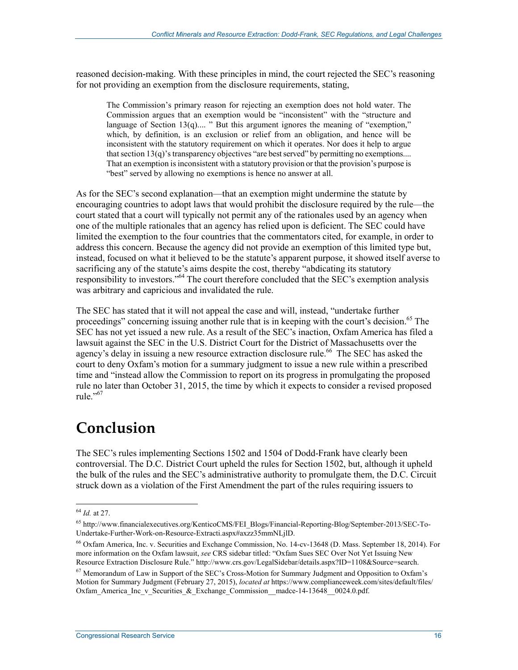reasoned decision-making. With these principles in mind, the court rejected the SEC's reasoning for not providing an exemption from the disclosure requirements, stating,

The Commission's primary reason for rejecting an exemption does not hold water. The Commission argues that an exemption would be "inconsistent" with the "structure and language of Section 13(q).... " But this argument ignores the meaning of "exemption," which, by definition, is an exclusion or relief from an obligation, and hence will be inconsistent with the statutory requirement on which it operates. Nor does it help to argue that section 13(q)'s transparency objectives "are best served" by permitting no exemptions.... That an exemption is inconsistent with a statutory provision or that the provision's purpose is "best" served by allowing no exemptions is hence no answer at all.

As for the SEC's second explanation—that an exemption might undermine the statute by encouraging countries to adopt laws that would prohibit the disclosure required by the rule—the court stated that a court will typically not permit any of the rationales used by an agency when one of the multiple rationales that an agency has relied upon is deficient. The SEC could have limited the exemption to the four countries that the commentators cited, for example, in order to address this concern. Because the agency did not provide an exemption of this limited type but, instead, focused on what it believed to be the statute's apparent purpose, it showed itself averse to sacrificing any of the statute's aims despite the cost, thereby "abdicating its statutory responsibility to investors."<sup>64</sup> The court therefore concluded that the SEC's exemption analysis was arbitrary and capricious and invalidated the rule.

The SEC has stated that it will not appeal the case and will, instead, "undertake further proceedings" concerning issuing another rule that is in keeping with the court's decision.<sup>65</sup> The SEC has not yet issued a new rule. As a result of the SEC's inaction, Oxfam America has filed a lawsuit against the SEC in the U.S. District Court for the District of Massachusetts over the agency's delay in issuing a new resource extraction disclosure rule.<sup>66</sup> The SEC has asked the court to deny Oxfam's motion for a summary judgment to issue a new rule within a prescribed time and "instead allow the Commission to report on its progress in promulgating the proposed rule no later than October 31, 2015, the time by which it expects to consider a revised proposed rule."<sup>67</sup>

## **Conclusion**

The SEC's rules implementing Sections 1502 and 1504 of Dodd-Frank have clearly been controversial. The D.C. District Court upheld the rules for Section 1502, but, although it upheld the bulk of the rules and the SEC's administrative authority to promulgate them, the D.C. Circuit struck down as a violation of the First Amendment the part of the rules requiring issuers to

<sup>64</sup> *Id.* at 27.

<sup>65</sup> http://www.financialexecutives.org/KenticoCMS/FEI\_Blogs/Financial-Reporting-Blog/September-2013/SEC-To-Undertake-Further-Work-on-Resource-Extracti.aspx#axzz35mmNLjlD.

<sup>66</sup> Oxfam America, Inc. v. Securities and Exchange Commission, No. 14-cv-13648 (D. Mass. September 18, 2014). For more information on the Oxfam lawsuit, *see* CRS sidebar titled: "Oxfam Sues SEC Over Not Yet Issuing New Resource Extraction Disclosure Rule." http://www.crs.gov/LegalSidebar/details.aspx?ID=1108&Source=search.

<sup>67</sup> Memorandum of Law in Support of the SEC's Cross-Motion for Summary Judgment and Opposition to Oxfam's Motion for Summary Judgment (February 27, 2015), *located at* https://www.complianceweek.com/sites/default/files/ Oxfam\_America\_Inc\_v\_Securities\_&\_Exchange\_Commission\_madce-14-13648\_\_0024.0.pdf.